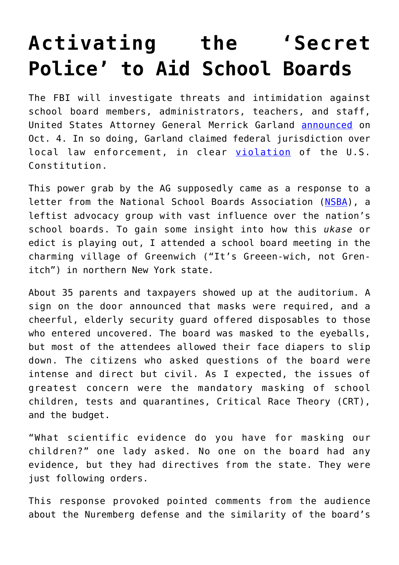## **[Activating the 'Secret](https://intellectualtakeout.org/2021/10/activating-the-secret-police-to-aid-school-boards/) [Police' to Aid School Boards](https://intellectualtakeout.org/2021/10/activating-the-secret-police-to-aid-school-boards/)**

The FBI will investigate threats and intimidation against school board members, administrators, teachers, and staff, United States Attorney General Merrick Garland [announced](https://nypost.com/2021/10/05/merrick-garland-calls-in-fbi-to-counter-threats-against-school-staffers/) on Oct. 4. In so doing, Garland claimed federal jurisdiction over local law enforcement, in clear [violation](https://www.foxnews.com/politics/missouri-ag-blasts-doj-directive-unconstitutional-expansion) of the U.S. Constitution.

This power grab by the AG supposedly came as a response to a letter from the National School Boards Association ([NSBA\)](https://www.heritage.org/node/24816107/print-display), a leftist advocacy group with vast influence over the nation's school boards. To gain some insight into how this *ukase* or edict is playing out, I attended a school board meeting in the charming village of Greenwich ("It's Greeen-wich, not Grenitch") in northern New York state.

About 35 parents and taxpayers showed up at the auditorium. A sign on the door announced that masks were required, and a cheerful, elderly security guard offered disposables to those who entered uncovered. The board was masked to the eyeballs, but most of the attendees allowed their face diapers to slip down. The citizens who asked questions of the board were intense and direct but civil. As I expected, the issues of greatest concern were the mandatory masking of school children, tests and quarantines, Critical Race Theory (CRT), and the budget.

"What scientific evidence do you have for masking our children?" one lady asked. No one on the board had any evidence, but they had directives from the state. They were just following orders.

This response provoked pointed comments from the audience about the Nuremberg defense and the similarity of the board's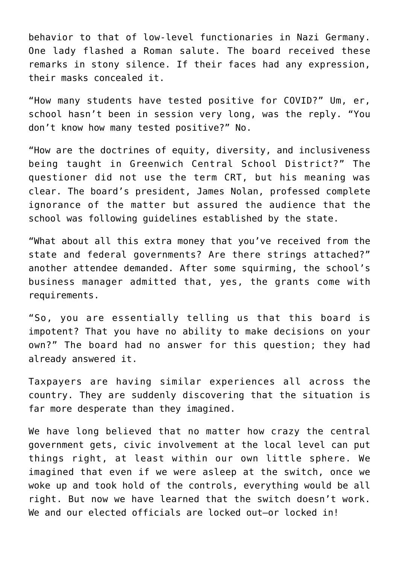behavior to that of low-level functionaries in Nazi Germany. One lady flashed a Roman salute. The board received these remarks in stony silence. If their faces had any expression, their masks concealed it.

"How many students have tested positive for COVID?" Um, er, school hasn't been in session very long, was the reply. "You don't know how many tested positive?" No.

"How are the doctrines of equity, diversity, and inclusiveness being taught in Greenwich Central School District?" The questioner did not use the term CRT, but his meaning was clear. The board's president, James Nolan, professed complete ignorance of the matter but assured the audience that the school was following guidelines established by the state.

"What about all this extra money that you've received from the state and federal governments? Are there strings attached?" another attendee demanded. After some squirming, the school's business manager admitted that, yes, the grants come with requirements.

"So, you are essentially telling us that this board is impotent? That you have no ability to make decisions on your own?" The board had no answer for this question; they had already answered it.

Taxpayers are having similar experiences all across the country. They are suddenly discovering that the situation is far more desperate than they imagined.

We have long believed that no matter how crazy the central government gets, civic involvement at the local level can put things right, at least within our own little sphere. We imagined that even if we were asleep at the switch, once we woke up and took hold of the controls, everything would be all right. But now we have learned that the switch doesn't work. We and our elected officials are locked out-or locked in!